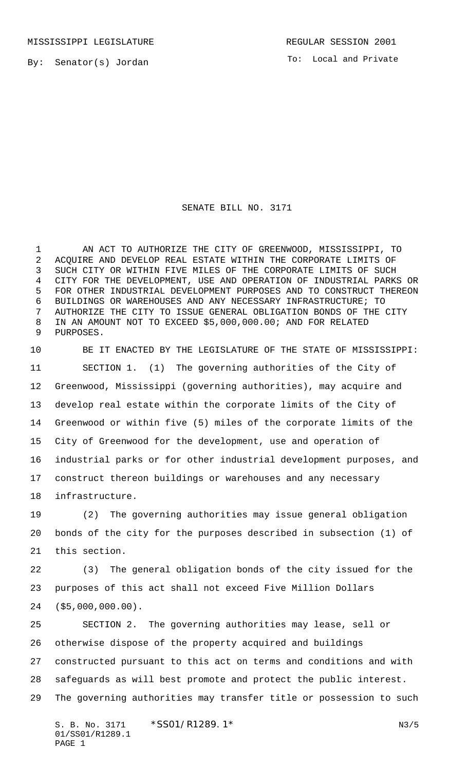MISSISSIPPI LEGISLATURE **REGULAR SESSION 2001** 

By: Senator(s) Jordan

To: Local and Private

## SENATE BILL NO. 3171

 AN ACT TO AUTHORIZE THE CITY OF GREENWOOD, MISSISSIPPI, TO ACQUIRE AND DEVELOP REAL ESTATE WITHIN THE CORPORATE LIMITS OF SUCH CITY OR WITHIN FIVE MILES OF THE CORPORATE LIMITS OF SUCH CITY FOR THE DEVELOPMENT, USE AND OPERATION OF INDUSTRIAL PARKS OR FOR OTHER INDUSTRIAL DEVELOPMENT PURPOSES AND TO CONSTRUCT THEREON BUILDINGS OR WAREHOUSES AND ANY NECESSARY INFRASTRUCTURE; TO AUTHORIZE THE CITY TO ISSUE GENERAL OBLIGATION BONDS OF THE CITY IN AN AMOUNT NOT TO EXCEED \$5,000,000.00; AND FOR RELATED PURPOSES.

 BE IT ENACTED BY THE LEGISLATURE OF THE STATE OF MISSISSIPPI: SECTION 1. (1) The governing authorities of the City of Greenwood, Mississippi (governing authorities), may acquire and develop real estate within the corporate limits of the City of Greenwood or within five (5) miles of the corporate limits of the City of Greenwood for the development, use and operation of industrial parks or for other industrial development purposes, and construct thereon buildings or warehouses and any necessary infrastructure.

 (2) The governing authorities may issue general obligation bonds of the city for the purposes described in subsection (1) of this section.

 (3) The general obligation bonds of the city issued for the purposes of this act shall not exceed Five Million Dollars (\$5,000,000.00).

 SECTION 2. The governing authorities may lease, sell or otherwise dispose of the property acquired and buildings constructed pursuant to this act on terms and conditions and with safeguards as will best promote and protect the public interest. The governing authorities may transfer title or possession to such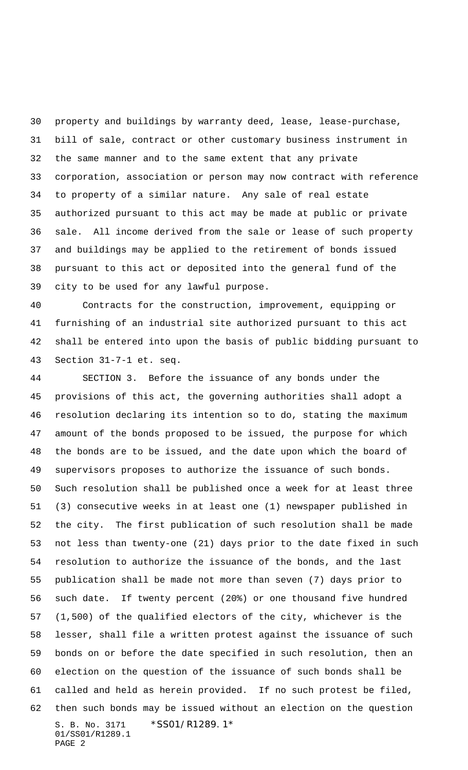property and buildings by warranty deed, lease, lease-purchase, bill of sale, contract or other customary business instrument in the same manner and to the same extent that any private corporation, association or person may now contract with reference to property of a similar nature. Any sale of real estate authorized pursuant to this act may be made at public or private sale. All income derived from the sale or lease of such property and buildings may be applied to the retirement of bonds issued pursuant to this act or deposited into the general fund of the city to be used for any lawful purpose.

 Contracts for the construction, improvement, equipping or furnishing of an industrial site authorized pursuant to this act shall be entered into upon the basis of public bidding pursuant to Section 31-7-1 et. seq.

S. B. No. 3171 \* SS01/R1289.1\* 01/SS01/R1289.1 PAGE 2 SECTION 3. Before the issuance of any bonds under the provisions of this act, the governing authorities shall adopt a resolution declaring its intention so to do, stating the maximum amount of the bonds proposed to be issued, the purpose for which the bonds are to be issued, and the date upon which the board of supervisors proposes to authorize the issuance of such bonds. Such resolution shall be published once a week for at least three (3) consecutive weeks in at least one (1) newspaper published in the city. The first publication of such resolution shall be made not less than twenty-one (21) days prior to the date fixed in such resolution to authorize the issuance of the bonds, and the last publication shall be made not more than seven (7) days prior to such date. If twenty percent (20%) or one thousand five hundred (1,500) of the qualified electors of the city, whichever is the lesser, shall file a written protest against the issuance of such bonds on or before the date specified in such resolution, then an election on the question of the issuance of such bonds shall be called and held as herein provided. If no such protest be filed, then such bonds may be issued without an election on the question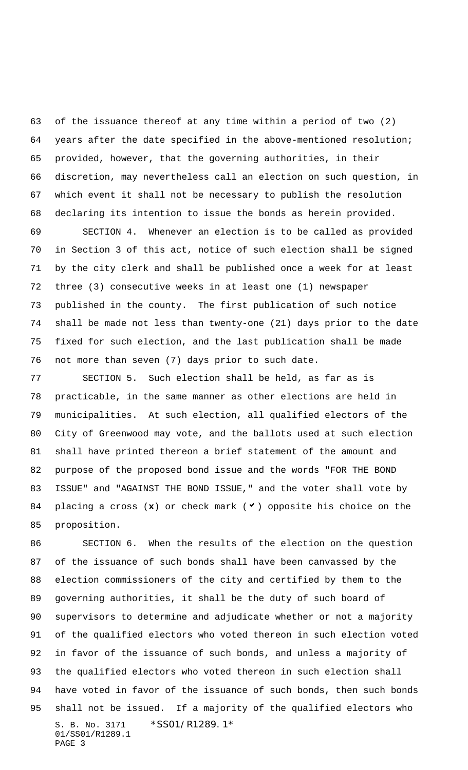of the issuance thereof at any time within a period of two (2) years after the date specified in the above-mentioned resolution; provided, however, that the governing authorities, in their discretion, may nevertheless call an election on such question, in which event it shall not be necessary to publish the resolution declaring its intention to issue the bonds as herein provided.

 SECTION 4. Whenever an election is to be called as provided in Section 3 of this act, notice of such election shall be signed by the city clerk and shall be published once a week for at least three (3) consecutive weeks in at least one (1) newspaper published in the county. The first publication of such notice shall be made not less than twenty-one (21) days prior to the date fixed for such election, and the last publication shall be made not more than seven (7) days prior to such date.

 SECTION 5. Such election shall be held, as far as is practicable, in the same manner as other elections are held in municipalities. At such election, all qualified electors of the City of Greenwood may vote, and the ballots used at such election shall have printed thereon a brief statement of the amount and purpose of the proposed bond issue and the words "FOR THE BOND ISSUE" and "AGAINST THE BOND ISSUE," and the voter shall vote by 84 placing a cross  $(x)$  or check mark  $(y)$  opposite his choice on the proposition.

S. B. No. 3171 \* SS01/R1289.1\* 01/SS01/R1289.1 PAGE 3 SECTION 6. When the results of the election on the question of the issuance of such bonds shall have been canvassed by the election commissioners of the city and certified by them to the governing authorities, it shall be the duty of such board of supervisors to determine and adjudicate whether or not a majority of the qualified electors who voted thereon in such election voted in favor of the issuance of such bonds, and unless a majority of the qualified electors who voted thereon in such election shall have voted in favor of the issuance of such bonds, then such bonds shall not be issued. If a majority of the qualified electors who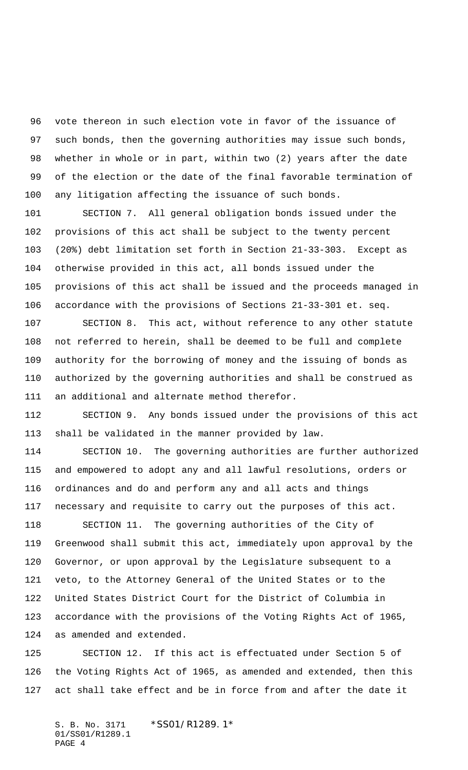vote thereon in such election vote in favor of the issuance of such bonds, then the governing authorities may issue such bonds, whether in whole or in part, within two (2) years after the date of the election or the date of the final favorable termination of any litigation affecting the issuance of such bonds.

 SECTION 7. All general obligation bonds issued under the provisions of this act shall be subject to the twenty percent (20%) debt limitation set forth in Section 21-33-303. Except as otherwise provided in this act, all bonds issued under the provisions of this act shall be issued and the proceeds managed in accordance with the provisions of Sections 21-33-301 et. seq.

 SECTION 8. This act, without reference to any other statute not referred to herein, shall be deemed to be full and complete authority for the borrowing of money and the issuing of bonds as authorized by the governing authorities and shall be construed as an additional and alternate method therefor.

 SECTION 9. Any bonds issued under the provisions of this act shall be validated in the manner provided by law.

 SECTION 10. The governing authorities are further authorized and empowered to adopt any and all lawful resolutions, orders or ordinances and do and perform any and all acts and things necessary and requisite to carry out the purposes of this act.

 SECTION 11. The governing authorities of the City of Greenwood shall submit this act, immediately upon approval by the Governor, or upon approval by the Legislature subsequent to a veto, to the Attorney General of the United States or to the United States District Court for the District of Columbia in accordance with the provisions of the Voting Rights Act of 1965, as amended and extended.

 SECTION 12. If this act is effectuated under Section 5 of the Voting Rights Act of 1965, as amended and extended, then this act shall take effect and be in force from and after the date it

S. B. No. 3171 \*SS01/R1289.1\* 01/SS01/R1289.1 PAGE 4